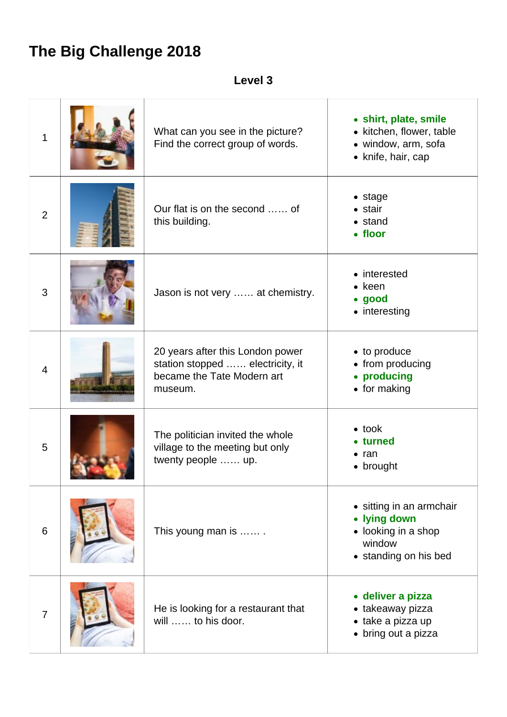## **The Big Challenge 2018**

**Level 3**

| 1              | What can you see in the picture?<br>Find the correct group of words.                                          | • shirt, plate, smile<br>• kitchen, flower, table<br>• window, arm, sofa<br>• knife, hair, cap     |
|----------------|---------------------------------------------------------------------------------------------------------------|----------------------------------------------------------------------------------------------------|
| $\overline{2}$ | Our flat is on the second  of<br>this building.                                                               | $\bullet$ stage<br>$\bullet$ stair<br>$\bullet$ stand<br>• floor                                   |
| 3              | Jason is not very  at chemistry.                                                                              | • interested<br>$\bullet$ keen<br>• good<br>• interesting                                          |
| $\overline{4}$ | 20 years after this London power<br>station stopped  electricity, it<br>became the Tate Modern art<br>museum. | • to produce<br>• from producing<br>• producing<br>• for making                                    |
| 5              | The politician invited the whole<br>village to the meeting but only<br>twenty people  up.                     | $\bullet$ took<br>• turned<br>$\bullet$ ran<br>• brought                                           |
| 6              | This young man is                                                                                             | • sitting in an armchair<br>• lying down<br>• looking in a shop<br>window<br>• standing on his bed |
| $\overline{7}$ | He is looking for a restaurant that<br>will  to his door.                                                     | · deliver a pizza<br>• takeaway pizza<br>• take a pizza up<br>• bring out a pizza                  |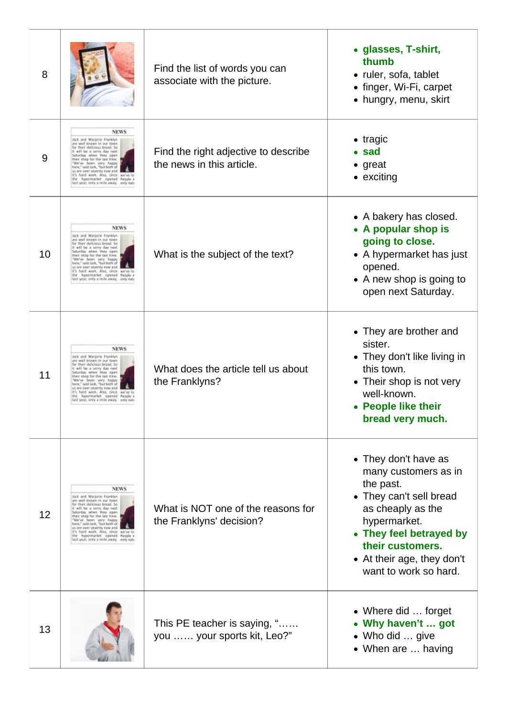| 8  |                                                                                                                                                                                                                                                                                                                                                                                                                      | Find the list of words you can<br>associate with the picture.     | • glasses, T-shirt,<br>thumb<br>· ruler, sofa, tablet<br>• finger, Wi-Fi, carpet<br>• hungry, menu, skirt                                                                                                                       |
|----|----------------------------------------------------------------------------------------------------------------------------------------------------------------------------------------------------------------------------------------------------------------------------------------------------------------------------------------------------------------------------------------------------------------------|-------------------------------------------------------------------|---------------------------------------------------------------------------------------------------------------------------------------------------------------------------------------------------------------------------------|
| 9  | <b>NEWS</b><br>Jack and Marjorie Franklyn<br>are well known in our town<br>for their delicious bread. So<br>It will be a sorry day next<br>Saturday when they open<br>their shop for the last time.<br>"We've been very happy<br>here," said lack, "but both of<br>us are over seventy now and<br>it's hard work. Also, since we've lo<br>the hypermarket opened Poople's<br>last year, only a mile away, only nati  | Find the right adjective to describe<br>the news in this article. | $\bullet$ tragic<br>$\bullet$ sad<br>$\bullet$ great<br>• exciting                                                                                                                                                              |
| 10 | <b>NEWS</b><br>Jack and Marjorie Franklyn<br>are well known in our town<br>for their delicious bread. So<br>It will be a sorry day next.<br>Saturday when they open<br>their shop for the last time.<br>"We've been very happy<br>here," said lack, "but both of<br>us are over seventy now and<br>it's hard work. Also, since we've lo<br>the hypermarket opened Poople a<br>last year, only a mile away, only nati | What is the subject of the text?                                  | • A bakery has closed.<br>• A popular shop is<br>going to close.<br>• A hypermarket has just<br>opened.<br>• A new shop is going to<br>open next Saturday.                                                                      |
| 11 | <b>NEWS</b><br>Jack and Marjorie Franklyn<br>are well known in our town<br>for their delicious bread. So<br>It will be a sorry day next<br>Saturday when they open<br>their shop for the last time.<br>"We've been very happy<br>here," said lack, "but both of<br>us are over seventy now and<br>it's hard work. Also, since we've lo<br>he hypermarket opened Poople a<br>last year, only a mile away, only nati   | What does the article tell us about<br>the Franklyns?             | • They are brother and<br>sister.<br>• They don't like living in<br>this town.<br>• Their shop is not very<br>well-known.<br>• People like their<br>bread very much.                                                            |
| 12 | <b>NEWS</b><br>Jack and Marjorie Franklyn<br>are well known in our town<br>for their delicious bread. So<br>It will be a sorry day next.<br>Saturday when they open<br>their shop for the last time.<br>We've been very happy<br>here," said lack, "but both of<br>us are over seventy now and<br>it's hard work. Also, since we've lo<br>the hypermarket opened Poople's<br>last year, only a mile away, only nati  | What is NOT one of the reasons for<br>the Franklyns' decision?    | • They don't have as<br>many customers as in<br>the past.<br>• They can't sell bread<br>as cheaply as the<br>hypermarket.<br>• They feel betrayed by<br>their customers.<br>• At their age, they don't<br>want to work so hard. |
| 13 |                                                                                                                                                                                                                                                                                                                                                                                                                      | This PE teacher is saying, "<br>you  your sports kit, Leo?"       | • Where did  forget<br>• Why haven't  got<br>• Who did  give<br>• When are  having                                                                                                                                              |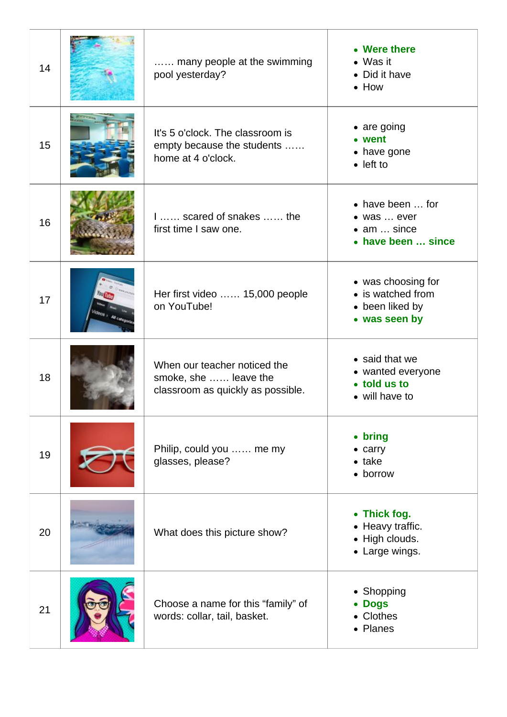| 14 | many people at the swimming<br>pool yesterday?                                             | • Were there<br>$\bullet$ Was it<br>• Did it have<br>$\bullet$ How                   |
|----|--------------------------------------------------------------------------------------------|--------------------------------------------------------------------------------------|
| 15 | It's 5 o'clock. The classroom is<br>empty because the students<br>home at 4 o'clock.       | $\bullet$ are going<br>• went<br>• have gone<br>$\bullet$ left to                    |
| 16 | 1 scared of snakes  the<br>first time I saw one.                                           | • have been  for<br>• was  ever<br>$\bullet$ am $\ldots$ since<br>• have been  since |
| 17 | Her first video  15,000 people<br>on YouTube!                                              | • was choosing for<br>• is watched from<br>• been liked by<br>• was seen by          |
| 18 | When our teacher noticed the<br>smoke, she  leave the<br>classroom as quickly as possible. | • said that we<br>• wanted everyone<br>• told us to<br>• will have to                |
| 19 | Philip, could you  me my<br>glasses, please?                                               | • bring<br>$\bullet$ carry<br>$\bullet$ take<br>• borrow                             |
| 20 | What does this picture show?                                                               | • Thick fog.<br>• Heavy traffic.<br>• High clouds.<br>• Large wings.                 |
| 21 | Choose a name for this "family" of<br>words: collar, tail, basket.                         | • Shopping<br><b>Dogs</b><br>Clothes<br>• Planes                                     |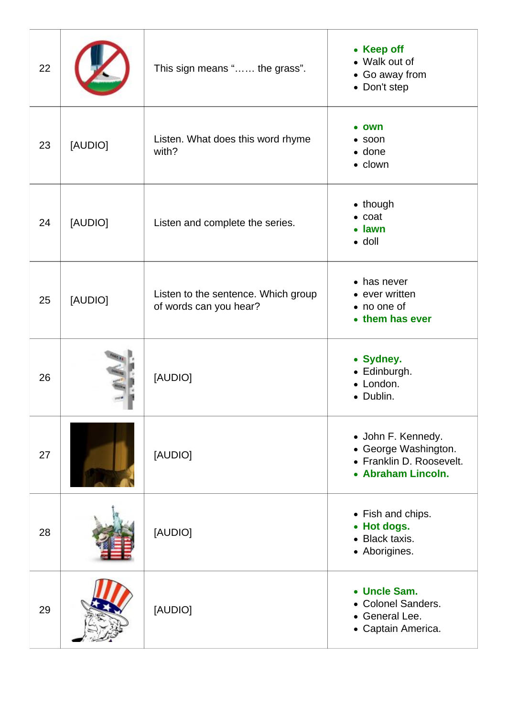| 22 |         | This sign means " the grass".                                 | • Keep off<br>• Walk out of<br>• Go away from<br>• Don't step                                |
|----|---------|---------------------------------------------------------------|----------------------------------------------------------------------------------------------|
| 23 | [AUDIO] | Listen. What does this word rhyme<br>with?                    | own<br>$\bullet$ soon<br>$\bullet$ done<br>• clown                                           |
| 24 | [AUDIO] | Listen and complete the series.                               | • though<br>$\bullet$ coat<br>• lawn<br>$\bullet$ doll                                       |
| 25 | [AUDIO] | Listen to the sentence. Which group<br>of words can you hear? | • has never<br>• ever written<br>• no one of<br>• them has ever                              |
| 26 |         | [AUDIO]                                                       | • Sydney.<br>• Edinburgh.<br>• London.<br>• Dublin.                                          |
| 27 |         | [AUDIO]                                                       | • John F. Kennedy.<br>• George Washington.<br>• Franklin D. Roosevelt.<br>• Abraham Lincoln. |
| 28 |         | [AUDIO]                                                       | • Fish and chips.<br>• Hot dogs.<br>Black taxis.<br>$\bullet$<br>• Aborigines.               |
| 29 |         | [AUDIO]                                                       | • Uncle Sam.<br>• Colonel Sanders.<br>• General Lee.<br>• Captain America.                   |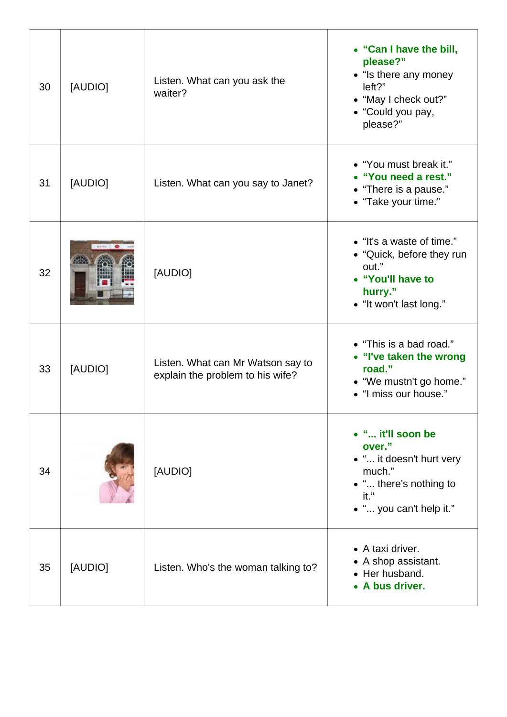| 30 | [AUDIO] | Listen. What can you ask the<br>waiter?                               | • "Can I have the bill,<br>please?"<br>• "Is there any money<br>left?"<br>• "May I check out?"<br>• "Could you pay,<br>please?" |
|----|---------|-----------------------------------------------------------------------|---------------------------------------------------------------------------------------------------------------------------------|
| 31 | [AUDIO] | Listen. What can you say to Janet?                                    | • "You must break it."<br>• "You need a rest."<br>• "There is a pause."<br>• "Take your time."                                  |
| 32 |         | [AUDIO]                                                               | • "It's a waste of time."<br>• "Quick, before they run<br>out."<br>• "You'll have to<br>hurry."<br>• "It won't last long."      |
| 33 | [AUDIO] | Listen. What can Mr Watson say to<br>explain the problem to his wife? | • "This is a bad road."<br>• "I've taken the wrong<br>road."<br>• "We mustn't go home."<br>• "I miss our house."                |
| 34 |         | [AUDIO]                                                               | • " it'll soon be<br>over."<br>• " it doesn't hurt very<br>much."<br>• " there's nothing to<br>it."<br>• " you can't help it."  |
| 35 | [AUDIO] | Listen. Who's the woman talking to?                                   | • A taxi driver.<br>• A shop assistant.<br>• Her husband.<br>• A bus driver.                                                    |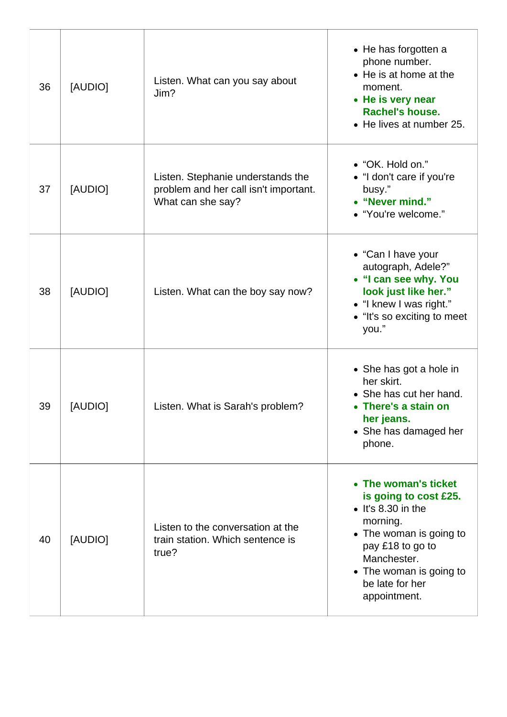| 36 | [AUDIO] | Listen. What can you say about<br>Jim?                                                          | • He has forgotten a<br>phone number.<br>• He is at home at the<br>moment.<br>• He is very near<br>Rachel's house.<br>• He lives at number 25.                                                                      |
|----|---------|-------------------------------------------------------------------------------------------------|---------------------------------------------------------------------------------------------------------------------------------------------------------------------------------------------------------------------|
| 37 | [AUDIO] | Listen. Stephanie understands the<br>problem and her call isn't important.<br>What can she say? | • "OK. Hold on."<br>• "I don't care if you're<br>busy."<br>• "Never mind."<br>• "You're welcome."                                                                                                                   |
| 38 | [AUDIO] | Listen. What can the boy say now?                                                               | • "Can I have your<br>autograph, Adele?"<br>• "I can see why. You<br>look just like her."<br>• "I knew I was right."<br>• "It's so exciting to meet<br>you."                                                        |
| 39 | [AUDIO] | Listen. What is Sarah's problem?                                                                | • She has got a hole in<br>her skirt.<br>• She has cut her hand.<br>• There's a stain on<br>her jeans.<br>• She has damaged her<br>phone.                                                                           |
| 40 | [AUDIO] | Listen to the conversation at the<br>train station. Which sentence is<br>true?                  | • The woman's ticket<br>is going to cost £25.<br>$\bullet$ It's 8.30 in the<br>morning.<br>• The woman is going to<br>pay £18 to go to<br>Manchester.<br>• The woman is going to<br>be late for her<br>appointment. |